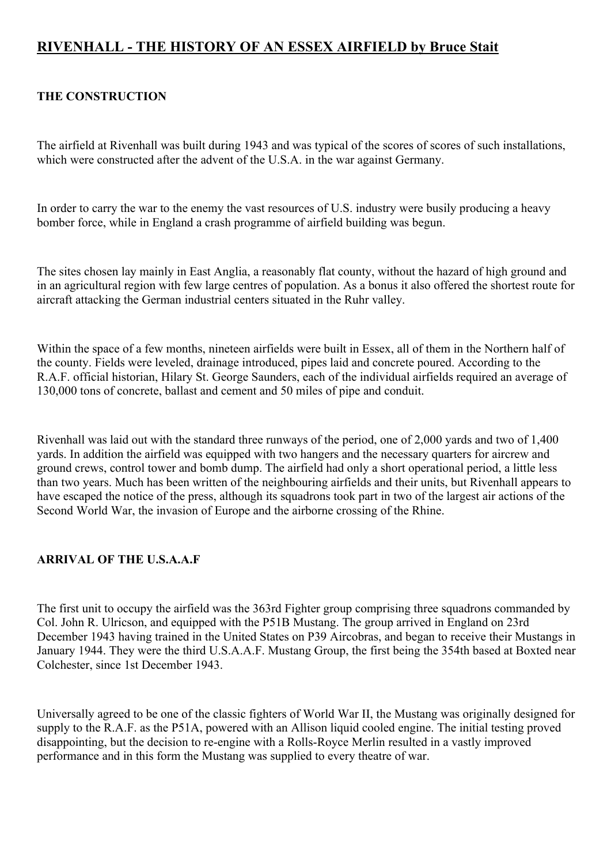# **RIVENHALL - THE HISTORY OF AN ESSEX AIRFIELD by Bruce Stait**

# **THE CONSTRUCTION**

The airfield at Rivenhall was built during 1943 and was typical of the scores of scores of such installations, which were constructed after the advent of the U.S.A. in the war against Germany.

In order to carry the war to the enemy the vast resources of U.S. industry were busily producing a heavy bomber force, while in England a crash programme of airfield building was begun.

The sites chosen lay mainly in East Anglia, a reasonably flat county, without the hazard of high ground and in an agricultural region with few large centres of population. As a bonus it also offered the shortest route for aircraft attacking the German industrial centers situated in the Ruhr valley.

Within the space of a few months, nineteen airfields were built in Essex, all of them in the Northern half of the county. Fields were leveled, drainage introduced, pipes laid and concrete poured. According to the R.A.F. official historian, Hilary St. George Saunders, each of the individual airfields required an average of 130,000 tons of concrete, ballast and cement and 50 miles of pipe and conduit.

Rivenhall was laid out with the standard three runways of the period, one of 2,000 yards and two of 1,400 yards. In addition the airfield was equipped with two hangers and the necessary quarters for aircrew and ground crews, control tower and bomb dump. The airfield had only a short operational period, a little less than two years. Much has been written of the neighbouring airfields and their units, but Rivenhall appears to have escaped the notice of the press, although its squadrons took part in two of the largest air actions of the Second World War, the invasion of Europe and the airborne crossing of the Rhine.

#### **ARRIVAL OF THE U.S.A.A.F**

The first unit to occupy the airfield was the 363rd Fighter group comprising three squadrons commanded by Col. John R. Ulricson, and equipped with the P51B Mustang. The group arrived in England on 23rd December 1943 having trained in the United States on P39 Aircobras, and began to receive their Mustangs in January 1944. They were the third U.S.A.A.F. Mustang Group, the first being the 354th based at Boxted near Colchester, since 1st December 1943.

Universally agreed to be one of the classic fighters of World War II, the Mustang was originally designed for supply to the R.A.F. as the P51A, powered with an Allison liquid cooled engine. The initial testing proved disappointing, but the decision to re-engine with a Rolls-Royce Merlin resulted in a vastly improved performance and in this form the Mustang was supplied to every theatre of war.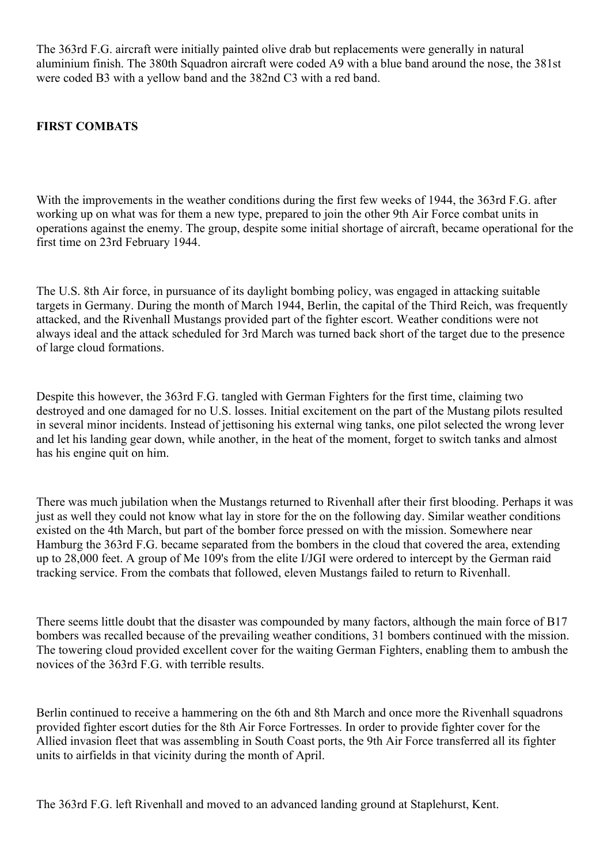The 363rd F.G. aircraft were initially painted olive drab but replacements were generally in natural aluminium finish. The 380th Squadron aircraft were coded A9 with a blue band around the nose, the 381st were coded B3 with a yellow band and the 382nd C3 with a red band.

#### **FIRST COMBATS**

With the improvements in the weather conditions during the first few weeks of 1944, the 363rd F.G. after working up on what was for them a new type, prepared to join the other 9th Air Force combat units in operations against the enemy. The group, despite some initial shortage of aircraft, became operational for the first time on 23rd February 1944.

The U.S. 8th Air force, in pursuance of its daylight bombing policy, was engaged in attacking suitable targets in Germany. During the month of March 1944, Berlin, the capital of the Third Reich, was frequently attacked, and the Rivenhall Mustangs provided part of the fighter escort. Weather conditions were not always ideal and the attack scheduled for 3rd March was turned back short of the target due to the presence of large cloud formations.

Despite this however, the 363rd F.G. tangled with German Fighters for the first time, claiming two destroyed and one damaged for no U.S. losses. Initial excitement on the part of the Mustang pilots resulted in several minor incidents. Instead of jettisoning his external wing tanks, one pilot selected the wrong lever and let his landing gear down, while another, in the heat of the moment, forget to switch tanks and almost has his engine quit on him.

There was much jubilation when the Mustangs returned to Rivenhall after their first blooding. Perhaps it was just as well they could not know what lay in store for the on the following day. Similar weather conditions existed on the 4th March, but part of the bomber force pressed on with the mission. Somewhere near Hamburg the 363rd F.G. became separated from the bombers in the cloud that covered the area, extending up to 28,000 feet. A group of Me 109's from the elite I/JGI were ordered to intercept by the German raid tracking service. From the combats that followed, eleven Mustangs failed to return to Rivenhall.

There seems little doubt that the disaster was compounded by many factors, although the main force of B17 bombers was recalled because of the prevailing weather conditions, 31 bombers continued with the mission. The towering cloud provided excellent cover for the waiting German Fighters, enabling them to ambush the novices of the 363rd F.G. with terrible results.

Berlin continued to receive a hammering on the 6th and 8th March and once more the Rivenhall squadrons provided fighter escort duties for the 8th Air Force Fortresses. In order to provide fighter cover for the Allied invasion fleet that was assembling in South Coast ports, the 9th Air Force transferred all its fighter units to airfields in that vicinity during the month of April.

The 363rd F.G. left Rivenhall and moved to an advanced landing ground at Staplehurst, Kent.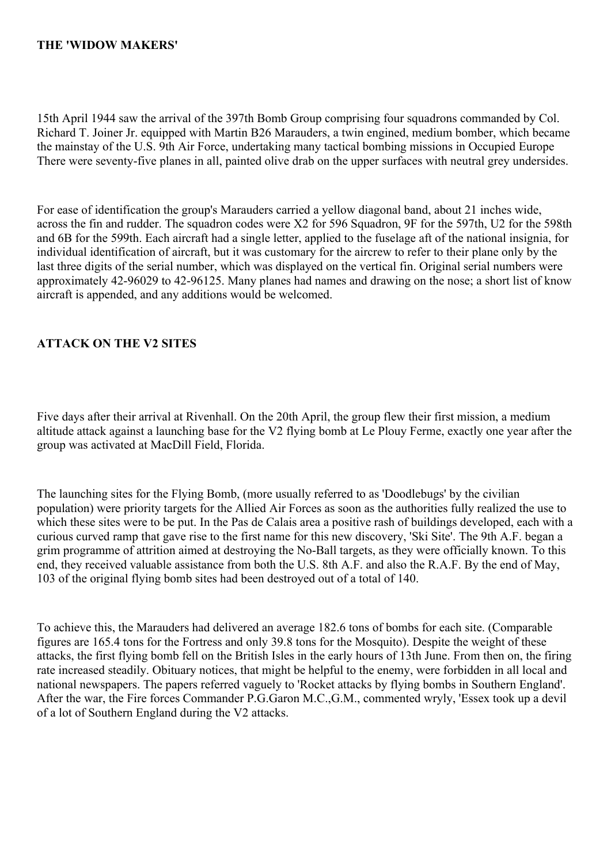## **THE 'WIDOW MAKERS'**

15th April 1944 saw the arrival of the 397th Bomb Group comprising four squadrons commanded by Col. Richard T. Joiner Jr. equipped with Martin B26 Marauders, a twin engined, medium bomber, which became the mainstay of the U.S. 9th Air Force, undertaking many tactical bombing missions in Occupied Europe There were seventy-five planes in all, painted olive drab on the upper surfaces with neutral grey undersides.

For ease of identification the group's Marauders carried a yellow diagonal band, about 21 inches wide, across the fin and rudder. The squadron codes were X2 for 596 Squadron, 9F for the 597th, U2 for the 598th and 6B for the 599th. Each aircraft had a single letter, applied to the fuselage aft of the national insignia, for individual identification of aircraft, but it was customary for the aircrew to refer to their plane only by the last three digits of the serial number, which was displayed on the vertical fin. Original serial numbers were approximately 42-96029 to 42-96125. Many planes had names and drawing on the nose; a short list of know aircraft is appended, and any additions would be welcomed.

## **ATTACK ON THE V2 SITES**

Five days after their arrival at Rivenhall. On the 20th April, the group flew their first mission, a medium altitude attack against a launching base for the V2 flying bomb at Le Plouy Ferme, exactly one year after the group was activated at MacDill Field, Florida.

The launching sites for the Flying Bomb, (more usually referred to as 'Doodlebugs' by the civilian population) were priority targets for the Allied Air Forces as soon as the authorities fully realized the use to which these sites were to be put. In the Pas de Calais area a positive rash of buildings developed, each with a curious curved ramp that gave rise to the first name for this new discovery, 'Ski Site'. The 9th A.F. began a grim programme of attrition aimed at destroying the No-Ball targets, as they were officially known. To this end, they received valuable assistance from both the U.S. 8th A.F. and also the R.A.F. By the end of May, 103 of the original flying bomb sites had been destroyed out of a total of 140.

To achieve this, the Marauders had delivered an average 182.6 tons of bombs for each site. (Comparable figures are 165.4 tons for the Fortress and only 39.8 tons for the Mosquito). Despite the weight of these attacks, the first flying bomb fell on the British Isles in the early hours of 13th June. From then on, the firing rate increased steadily. Obituary notices, that might be helpful to the enemy, were forbidden in all local and national newspapers. The papers referred vaguely to 'Rocket attacks by flying bombs in Southern England'. After the war, the Fire forces Commander P.G.Garon M.C.,G.M., commented wryly, 'Essex took up a devil of a lot of Southern England during the V2 attacks.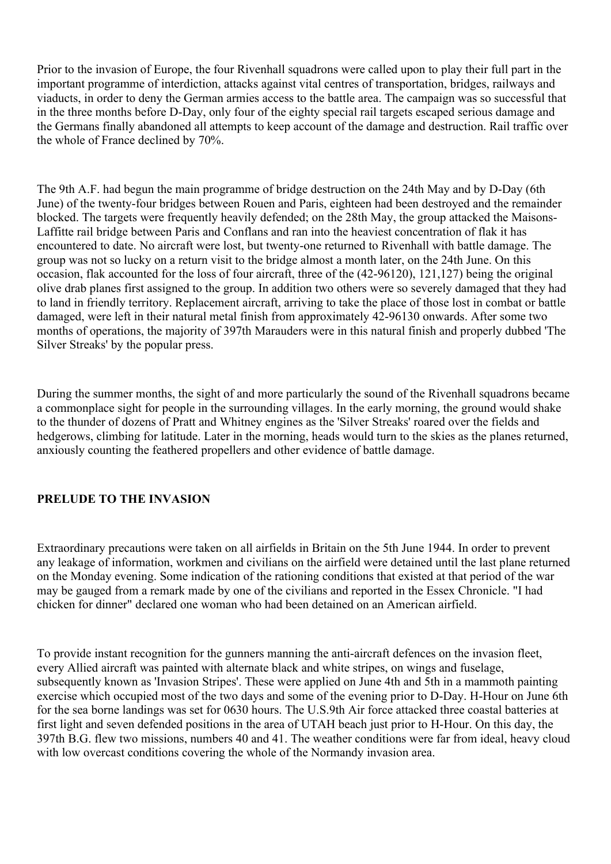Prior to the invasion of Europe, the four Rivenhall squadrons were called upon to play their full part in the important programme of interdiction, attacks against vital centres of transportation, bridges, railways and viaducts, in order to deny the German armies access to the battle area. The campaign was so successful that in the three months before D-Day, only four of the eighty special rail targets escaped serious damage and the Germans finally abandoned all attempts to keep account of the damage and destruction. Rail traffic over the whole of France declined by 70%.

The 9th A.F. had begun the main programme of bridge destruction on the 24th May and by D-Day (6th June) of the twenty-four bridges between Rouen and Paris, eighteen had been destroyed and the remainder blocked. The targets were frequently heavily defended; on the 28th May, the group attacked the Maisons-Laffitte rail bridge between Paris and Conflans and ran into the heaviest concentration of flak it has encountered to date. No aircraft were lost, but twenty-one returned to Rivenhall with battle damage. The group was not so lucky on a return visit to the bridge almost a month later, on the 24th June. On this occasion, flak accounted for the loss of four aircraft, three of the (42-96120), 121,127) being the original olive drab planes first assigned to the group. In addition two others were so severely damaged that they had to land in friendly territory. Replacement aircraft, arriving to take the place of those lost in combat or battle damaged, were left in their natural metal finish from approximately 42-96130 onwards. After some two months of operations, the majority of 397th Marauders were in this natural finish and properly dubbed 'The Silver Streaks' by the popular press.

During the summer months, the sight of and more particularly the sound of the Rivenhall squadrons became a commonplace sight for people in the surrounding villages. In the early morning, the ground would shake to the thunder of dozens of Pratt and Whitney engines as the 'Silver Streaks' roared over the fields and hedgerows, climbing for latitude. Later in the morning, heads would turn to the skies as the planes returned, anxiously counting the feathered propellers and other evidence of battle damage.

#### **PRELUDE TO THE INVASION**

Extraordinary precautions were taken on all airfields in Britain on the 5th June 1944. In order to prevent any leakage of information, workmen and civilians on the airfield were detained until the last plane returned on the Monday evening. Some indication of the rationing conditions that existed at that period of the war may be gauged from a remark made by one of the civilians and reported in the Essex Chronicle. "I had chicken for dinner" declared one woman who had been detained on an American airfield.

To provide instant recognition for the gunners manning the anti-aircraft defences on the invasion fleet, every Allied aircraft was painted with alternate black and white stripes, on wings and fuselage, subsequently known as 'Invasion Stripes'. These were applied on June 4th and 5th in a mammoth painting exercise which occupied most of the two days and some of the evening prior to D-Day. H-Hour on June 6th for the sea borne landings was set for 0630 hours. The U.S.9th Air force attacked three coastal batteries at first light and seven defended positions in the area of UTAH beach just prior to H-Hour. On this day, the 397th B.G. flew two missions, numbers 40 and 41. The weather conditions were far from ideal, heavy cloud with low overcast conditions covering the whole of the Normandy invasion area.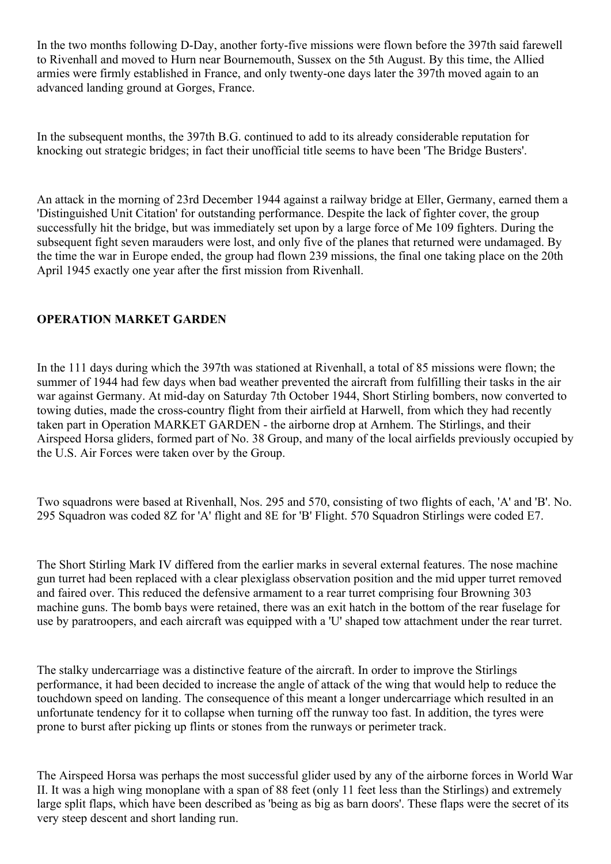In the two months following D-Day, another forty-five missions were flown before the 397th said farewell to Rivenhall and moved to Hurn near Bournemouth, Sussex on the 5th August. By this time, the Allied armies were firmly established in France, and only twenty-one days later the 397th moved again to an advanced landing ground at Gorges, France.

In the subsequent months, the 397th B.G. continued to add to its already considerable reputation for knocking out strategic bridges; in fact their unofficial title seems to have been 'The Bridge Busters'.

An attack in the morning of 23rd December 1944 against a railway bridge at Eller, Germany, earned them a 'Distinguished Unit Citation' for outstanding performance. Despite the lack of fighter cover, the group successfully hit the bridge, but was immediately set upon by a large force of Me 109 fighters. During the subsequent fight seven marauders were lost, and only five of the planes that returned were undamaged. By the time the war in Europe ended, the group had flown 239 missions, the final one taking place on the 20th April 1945 exactly one year after the first mission from Rivenhall.

# **OPERATION MARKET GARDEN**

In the 111 days during which the 397th was stationed at Rivenhall, a total of 85 missions were flown; the summer of 1944 had few days when bad weather prevented the aircraft from fulfilling their tasks in the air war against Germany. At mid-day on Saturday 7th October 1944, Short Stirling bombers, now converted to towing duties, made the cross-country flight from their airfield at Harwell, from which they had recently taken part in Operation MARKET GARDEN - the airborne drop at Arnhem. The Stirlings, and their Airspeed Horsa gliders, formed part of No. 38 Group, and many of the local airfields previously occupied by the U.S. Air Forces were taken over by the Group.

Two squadrons were based at Rivenhall, Nos. 295 and 570, consisting of two flights of each, 'A' and 'B'. No. 295 Squadron was coded 8Z for 'A' flight and 8E for 'B' Flight. 570 Squadron Stirlings were coded E7.

The Short Stirling Mark IV differed from the earlier marks in several external features. The nose machine gun turret had been replaced with a clear plexiglass observation position and the mid upper turret removed and faired over. This reduced the defensive armament to a rear turret comprising four Browning 303 machine guns. The bomb bays were retained, there was an exit hatch in the bottom of the rear fuselage for use by paratroopers, and each aircraft was equipped with a 'U' shaped tow attachment under the rear turret.

The stalky undercarriage was a distinctive feature of the aircraft. In order to improve the Stirlings performance, it had been decided to increase the angle of attack of the wing that would help to reduce the touchdown speed on landing. The consequence of this meant a longer undercarriage which resulted in an unfortunate tendency for it to collapse when turning off the runway too fast. In addition, the tyres were prone to burst after picking up flints or stones from the runways or perimeter track.

The Airspeed Horsa was perhaps the most successful glider used by any of the airborne forces in World War II. It was a high wing monoplane with a span of 88 feet (only 11 feet less than the Stirlings) and extremely large split flaps, which have been described as 'being as big as barn doors'. These flaps were the secret of its very steep descent and short landing run.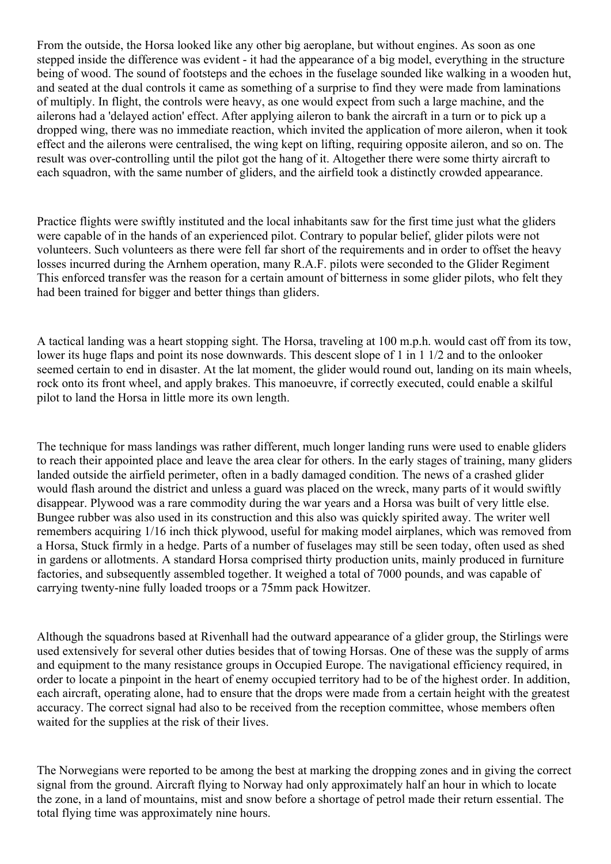From the outside, the Horsa looked like any other big aeroplane, but without engines. As soon as one stepped inside the difference was evident - it had the appearance of a big model, everything in the structure being of wood. The sound of footsteps and the echoes in the fuselage sounded like walking in a wooden hut, and seated at the dual controls it came as something of a surprise to find they were made from laminations of multiply. In flight, the controls were heavy, as one would expect from such a large machine, and the ailerons had a 'delayed action' effect. After applying aileron to bank the aircraft in a turn or to pick up a dropped wing, there was no immediate reaction, which invited the application of more aileron, when it took effect and the ailerons were centralised, the wing kept on lifting, requiring opposite aileron, and so on. The result was over-controlling until the pilot got the hang of it. Altogether there were some thirty aircraft to each squadron, with the same number of gliders, and the airfield took a distinctly crowded appearance.

Practice flights were swiftly instituted and the local inhabitants saw for the first time just what the gliders were capable of in the hands of an experienced pilot. Contrary to popular belief, glider pilots were not volunteers. Such volunteers as there were fell far short of the requirements and in order to offset the heavy losses incurred during the Arnhem operation, many R.A.F. pilots were seconded to the Glider Regiment This enforced transfer was the reason for a certain amount of bitterness in some glider pilots, who felt they had been trained for bigger and better things than gliders.

A tactical landing was a heart stopping sight. The Horsa, traveling at 100 m.p.h. would cast off from its tow, lower its huge flaps and point its nose downwards. This descent slope of 1 in 1 1/2 and to the onlooker seemed certain to end in disaster. At the lat moment, the glider would round out, landing on its main wheels, rock onto its front wheel, and apply brakes. This manoeuvre, if correctly executed, could enable a skilful pilot to land the Horsa in little more its own length.

The technique for mass landings was rather different, much longer landing runs were used to enable gliders to reach their appointed place and leave the area clear for others. In the early stages of training, many gliders landed outside the airfield perimeter, often in a badly damaged condition. The news of a crashed glider would flash around the district and unless a guard was placed on the wreck, many parts of it would swiftly disappear. Plywood was a rare commodity during the war years and a Horsa was built of very little else. Bungee rubber was also used in its construction and this also was quickly spirited away. The writer well remembers acquiring 1/16 inch thick plywood, useful for making model airplanes, which was removed from a Horsa, Stuck firmly in a hedge. Parts of a number of fuselages may still be seen today, often used as shed in gardens or allotments. A standard Horsa comprised thirty production units, mainly produced in furniture factories, and subsequently assembled together. It weighed a total of 7000 pounds, and was capable of carrying twenty-nine fully loaded troops or a 75mm pack Howitzer.

Although the squadrons based at Rivenhall had the outward appearance of a glider group, the Stirlings were used extensively for several other duties besides that of towing Horsas. One of these was the supply of arms and equipment to the many resistance groups in Occupied Europe. The navigational efficiency required, in order to locate a pinpoint in the heart of enemy occupied territory had to be of the highest order. In addition, each aircraft, operating alone, had to ensure that the drops were made from a certain height with the greatest accuracy. The correct signal had also to be received from the reception committee, whose members often waited for the supplies at the risk of their lives.

The Norwegians were reported to be among the best at marking the dropping zones and in giving the correct signal from the ground. Aircraft flying to Norway had only approximately half an hour in which to locate the zone, in a land of mountains, mist and snow before a shortage of petrol made their return essential. The total flying time was approximately nine hours.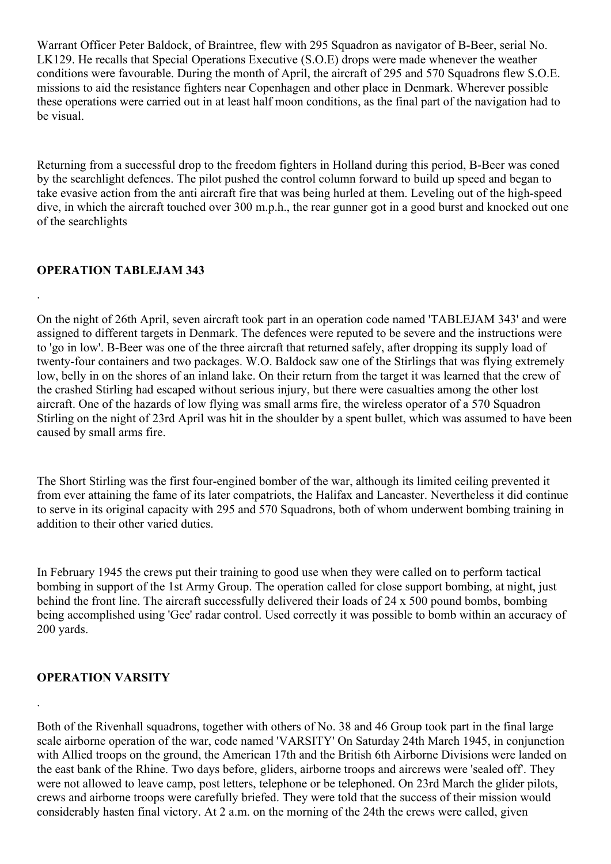Warrant Officer Peter Baldock, of Braintree, flew with 295 Squadron as navigator of B-Beer, serial No. LK129. He recalls that Special Operations Executive (S.O.E) drops were made whenever the weather conditions were favourable. During the month of April, the aircraft of 295 and 570 Squadrons flew S.O.E. missions to aid the resistance fighters near Copenhagen and other place in Denmark. Wherever possible these operations were carried out in at least half moon conditions, as the final part of the navigation had to be visual.

Returning from a successful drop to the freedom fighters in Holland during this period, B-Beer was coned by the searchlight defences. The pilot pushed the control column forward to build up speed and began to take evasive action from the anti aircraft fire that was being hurled at them. Leveling out of the high-speed dive, in which the aircraft touched over 300 m.p.h., the rear gunner got in a good burst and knocked out one of the searchlights

## **OPERATION TABLEJAM 343**

.

On the night of 26th April, seven aircraft took part in an operation code named 'TABLEJAM 343' and were assigned to different targets in Denmark. The defences were reputed to be severe and the instructions were to 'go in low'. B-Beer was one of the three aircraft that returned safely, after dropping its supply load of twenty-four containers and two packages. W.O. Baldock saw one of the Stirlings that was flying extremely low, belly in on the shores of an inland lake. On their return from the target it was learned that the crew of the crashed Stirling had escaped without serious injury, but there were casualties among the other lost aircraft. One of the hazards of low flying was small arms fire, the wireless operator of a 570 Squadron Stirling on the night of 23rd April was hit in the shoulder by a spent bullet, which was assumed to have been caused by small arms fire.

The Short Stirling was the first four-engined bomber of the war, although its limited ceiling prevented it from ever attaining the fame of its later compatriots, the Halifax and Lancaster. Nevertheless it did continue to serve in its original capacity with 295 and 570 Squadrons, both of whom underwent bombing training in addition to their other varied duties.

In February 1945 the crews put their training to good use when they were called on to perform tactical bombing in support of the 1st Army Group. The operation called for close support bombing, at night, just behind the front line. The aircraft successfully delivered their loads of 24 x 500 pound bombs, bombing being accomplished using 'Gee' radar control. Used correctly it was possible to bomb within an accuracy of 200 yards.

## **OPERATION VARSITY**

.

Both of the Rivenhall squadrons, together with others of No. 38 and 46 Group took part in the final large scale airborne operation of the war, code named 'VARSITY' On Saturday 24th March 1945, in conjunction with Allied troops on the ground, the American 17th and the British 6th Airborne Divisions were landed on the east bank of the Rhine. Two days before, gliders, airborne troops and aircrews were 'sealed off'. They were not allowed to leave camp, post letters, telephone or be telephoned. On 23rd March the glider pilots, crews and airborne troops were carefully briefed. They were told that the success of their mission would considerably hasten final victory. At 2 a.m. on the morning of the 24th the crews were called, given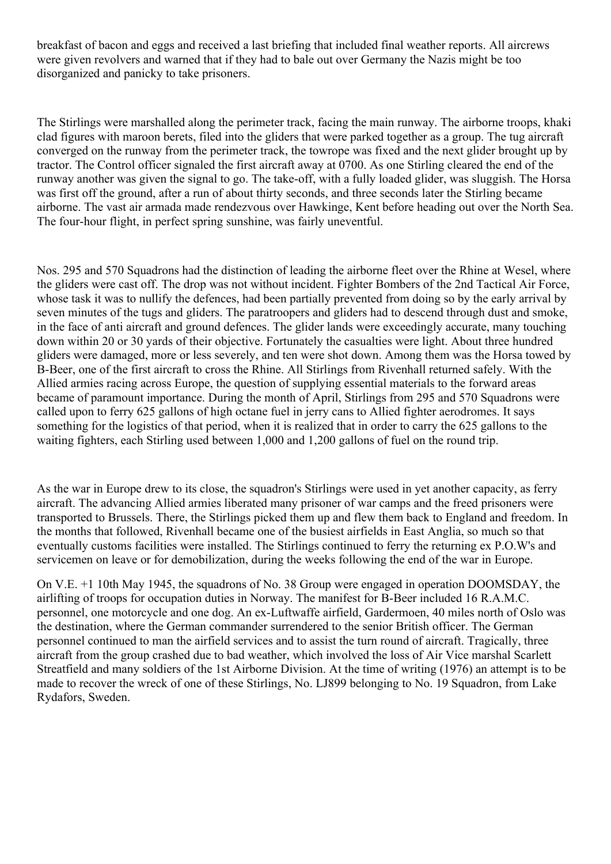breakfast of bacon and eggs and received a last briefing that included final weather reports. All aircrews were given revolvers and warned that if they had to bale out over Germany the Nazis might be too disorganized and panicky to take prisoners.

The Stirlings were marshalled along the perimeter track, facing the main runway. The airborne troops, khaki clad figures with maroon berets, filed into the gliders that were parked together as a group. The tug aircraft converged on the runway from the perimeter track, the towrope was fixed and the next glider brought up by tractor. The Control officer signaled the first aircraft away at 0700. As one Stirling cleared the end of the runway another was given the signal to go. The take-off, with a fully loaded glider, was sluggish. The Horsa was first off the ground, after a run of about thirty seconds, and three seconds later the Stirling became airborne. The vast air armada made rendezvous over Hawkinge, Kent before heading out over the North Sea. The four-hour flight, in perfect spring sunshine, was fairly uneventful.

Nos. 295 and 570 Squadrons had the distinction of leading the airborne fleet over the Rhine at Wesel, where the gliders were cast off. The drop was not without incident. Fighter Bombers of the 2nd Tactical Air Force, whose task it was to nullify the defences, had been partially prevented from doing so by the early arrival by seven minutes of the tugs and gliders. The paratroopers and gliders had to descend through dust and smoke, in the face of anti aircraft and ground defences. The glider lands were exceedingly accurate, many touching down within 20 or 30 yards of their objective. Fortunately the casualties were light. About three hundred gliders were damaged, more or less severely, and ten were shot down. Among them was the Horsa towed by B-Beer, one of the first aircraft to cross the Rhine. All Stirlings from Rivenhall returned safely. With the Allied armies racing across Europe, the question of supplying essential materials to the forward areas became of paramount importance. During the month of April, Stirlings from 295 and 570 Squadrons were called upon to ferry 625 gallons of high octane fuel in jerry cans to Allied fighter aerodromes. It says something for the logistics of that period, when it is realized that in order to carry the 625 gallons to the waiting fighters, each Stirling used between 1,000 and 1,200 gallons of fuel on the round trip.

As the war in Europe drew to its close, the squadron's Stirlings were used in yet another capacity, as ferry aircraft. The advancing Allied armies liberated many prisoner of war camps and the freed prisoners were transported to Brussels. There, the Stirlings picked them up and flew them back to England and freedom. In the months that followed, Rivenhall became one of the busiest airfields in East Anglia, so much so that eventually customs facilities were installed. The Stirlings continued to ferry the returning ex P.O.W's and servicemen on leave or for demobilization, during the weeks following the end of the war in Europe.

On V.E. +1 10th May 1945, the squadrons of No. 38 Group were engaged in operation DOOMSDAY, the airlifting of troops for occupation duties in Norway. The manifest for B-Beer included 16 R.A.M.C. personnel, one motorcycle and one dog. An ex-Luftwaffe airfield, Gardermoen, 40 miles north of Oslo was the destination, where the German commander surrendered to the senior British officer. The German personnel continued to man the airfield services and to assist the turn round of aircraft. Tragically, three aircraft from the group crashed due to bad weather, which involved the loss of Air Vice marshal Scarlett Streatfield and many soldiers of the 1st Airborne Division. At the time of writing (1976) an attempt is to be made to recover the wreck of one of these Stirlings, No. LJ899 belonging to No. 19 Squadron, from Lake Rydafors, Sweden.